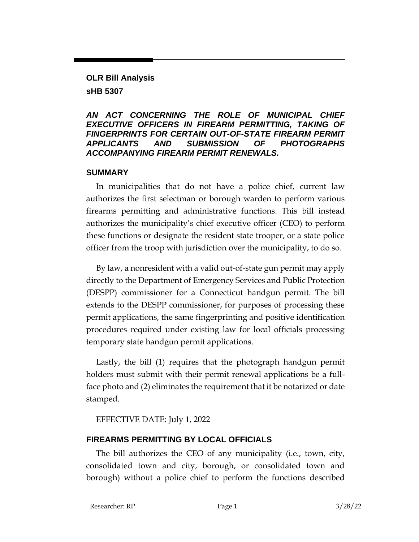# **OLR Bill Analysis sHB 5307**

#### *AN ACT CONCERNING THE ROLE OF MUNICIPAL CHIEF EXECUTIVE OFFICERS IN FIREARM PERMITTING, TAKING OF FINGERPRINTS FOR CERTAIN OUT-OF-STATE FIREARM PERMIT APPLICANTS AND SUBMISSION OF PHOTOGRAPHS ACCOMPANYING FIREARM PERMIT RENEWALS.*

#### **SUMMARY**

In municipalities that do not have a police chief, current law authorizes the first selectman or borough warden to perform various firearms permitting and administrative functions. This bill instead authorizes the municipality's chief executive officer (CEO) to perform these functions or designate the resident state trooper, or a state police officer from the troop with jurisdiction over the municipality, to do so.

By law, a nonresident with a valid out-of-state gun permit may apply directly to the Department of Emergency Services and Public Protection (DESPP) commissioner for a Connecticut handgun permit. The bill extends to the DESPP commissioner, for purposes of processing these permit applications, the same fingerprinting and positive identification procedures required under existing law for local officials processing temporary state handgun permit applications.

Lastly, the bill (1) requires that the photograph handgun permit holders must submit with their permit renewal applications be a fullface photo and (2) eliminates the requirement that it be notarized or date stamped.

### EFFECTIVE DATE: July 1, 2022

### **FIREARMS PERMITTING BY LOCAL OFFICIALS**

The bill authorizes the CEO of any municipality (i.e., town, city, consolidated town and city, borough, or consolidated town and borough) without a police chief to perform the functions described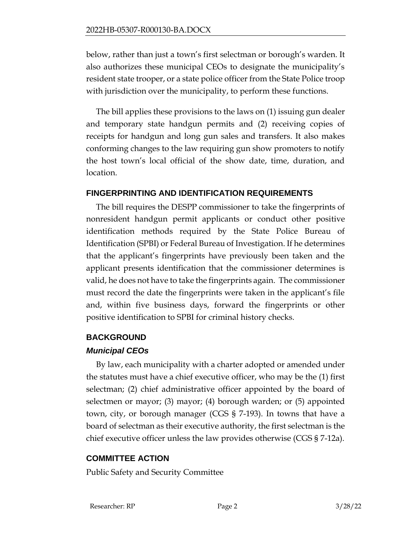below, rather than just a town's first selectman or borough's warden. It also authorizes these municipal CEOs to designate the municipality's resident state trooper, or a state police officer from the State Police troop with jurisdiction over the municipality, to perform these functions.

The bill applies these provisions to the laws on (1) issuing gun dealer and temporary state handgun permits and (2) receiving copies of receipts for handgun and long gun sales and transfers. It also makes conforming changes to the law requiring gun show promoters to notify the host town's local official of the show date, time, duration, and location.

### **FINGERPRINTING AND IDENTIFICATION REQUIREMENTS**

The bill requires the DESPP commissioner to take the fingerprints of nonresident handgun permit applicants or conduct other positive identification methods required by the State Police Bureau of Identification (SPBI) or Federal Bureau of Investigation. If he determines that the applicant's fingerprints have previously been taken and the applicant presents identification that the commissioner determines is valid, he does not have to take the fingerprints again. The commissioner must record the date the fingerprints were taken in the applicant's file and, within five business days, forward the fingerprints or other positive identification to SPBI for criminal history checks.

## **BACKGROUND**

### *Municipal CEOs*

By law, each municipality with a charter adopted or amended under the statutes must have a chief executive officer, who may be the (1) first selectman; (2) chief administrative officer appointed by the board of selectmen or mayor; (3) mayor; (4) borough warden; or (5) appointed town, city, or borough manager (CGS § 7-193). In towns that have a board of selectman as their executive authority, the first selectman is the chief executive officer unless the law provides otherwise (CGS § 7-12a).

## **COMMITTEE ACTION**

Public Safety and Security Committee